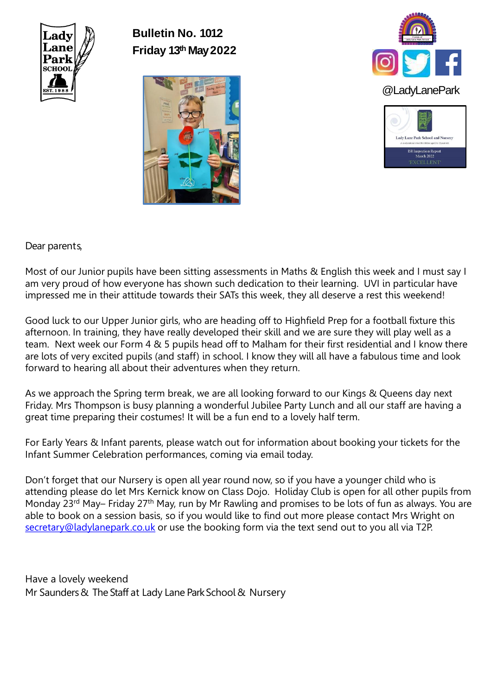

**Bulletin No. 1012 Friday 13th May 2022**







# Dear parents,

Most of our Junior pupils have been sitting assessments in Maths & English this week and I must say I am very proud of how everyone has shown such dedication to their learning. UVI in particular have impressed me in their attitude towards their SATs this week, they all deserve a rest this weekend!

Good luck to our Upper Junior girls, who are heading off to Highfield Prep for a football fixture this afternoon. In training, they have really developed their skill and we are sure they will play well as a team. Next week our Form 4 & 5 pupils head off to Malham for their first residential and I know there are lots of very excited pupils (and staff) in school. I know they will all have a fabulous time and look forward to hearing all about their adventures when they return.

As we approach the Spring term break, we are all looking forward to our Kings & Queens day next Friday. Mrs Thompson is busy planning a wonderful Jubilee Party Lunch and all our staff are having a great time preparing their costumes! It will be a fun end to a lovely half term.

For Early Years & Infant parents, please watch out for information about booking your tickets for the Infant Summer Celebration performances, coming via email today.

Don't forget that our Nursery is open all year round now, so if you have a younger child who is attending please do let Mrs Kernick know on Class Dojo. Holiday Club is open for all other pupils from Monday 23<sup>rd</sup> May– Friday 27<sup>th</sup> May, run by Mr Rawling and promises to be lots of fun as always. You are able to book on a session basis, so if you would like to find out more please contact Mrs Wright on [secretary@ladylanepark.co.uk](mailto:secretary@ladylanepark.co.uk) or use the booking form via the text send out to you all via T2P.

Have a lovely weekend Mr Saunders & The Staff at Lady Lane Park School & Nursery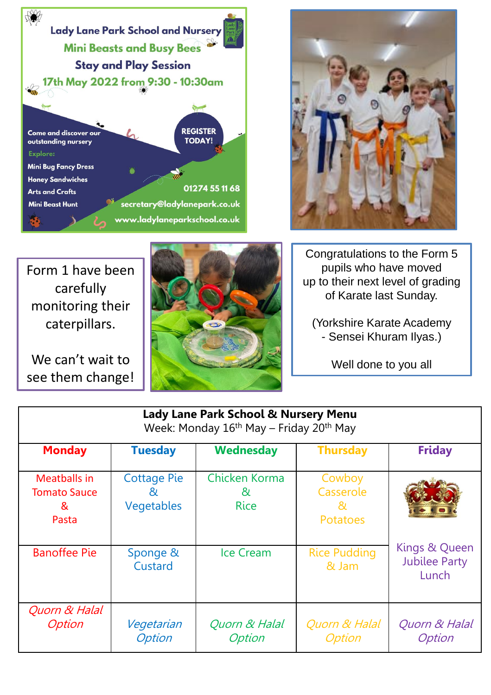



Form 1 have been carefully monitoring their caterpillars.

We can't wait to see them change!



Congratulations to the Form 5 pupils who have moved up to their next level of grading of Karate last Sunday.

(Yorkshire Karate Academy - Sensei Khuram Ilyas.)

Well done to you all

| <b>Lady Lane Park School &amp; Nursery Menu</b><br>Week: Monday 16 <sup>th</sup> May – Friday 20 <sup>th</sup> May |                                        |                                   |                                               |                                                |
|--------------------------------------------------------------------------------------------------------------------|----------------------------------------|-----------------------------------|-----------------------------------------------|------------------------------------------------|
| <b>Monday</b>                                                                                                      | <b>Tuesday</b>                         | <b>Wednesday</b>                  | <b>Thursday</b>                               | <b>Friday</b>                                  |
| <b>Meatballs in</b><br><b>Tomato Sauce</b><br>&<br>Pasta                                                           | <b>Cottage Pie</b><br>82<br>Vegetables | Chicken Korma<br>&<br><b>Rice</b> | Cowboy<br>Casserole<br>XV.<br><b>Potatoes</b> |                                                |
| <b>Banoffee Pie</b>                                                                                                | Sponge &<br>Custard                    | Ice Cream                         | <b>Rice Pudding</b><br>& Jam                  | Kings & Queen<br><b>Jubilee Party</b><br>Lunch |
| Quorn & Halal<br><b>Option</b>                                                                                     | Vegetarian<br><b>Option</b>            | Quorn & Halal<br>Option           | Quorn & Halal<br>Option                       | Quorn & Halal<br>Option                        |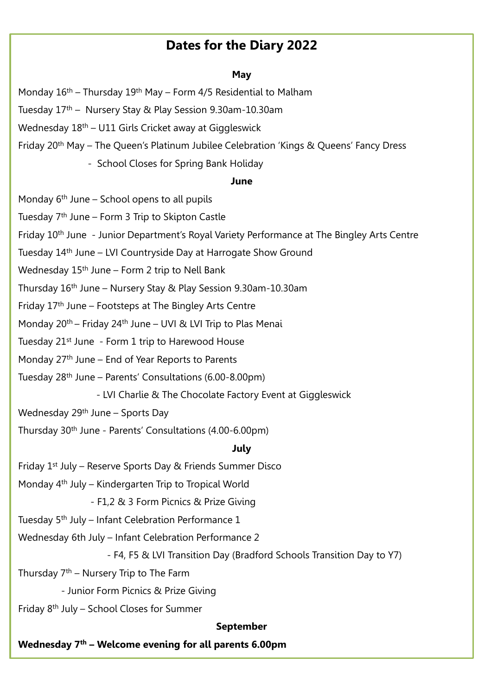# **Dates for the Diary 2022**

## **May**

Monday  $16<sup>th</sup>$  – Thursday  $19<sup>th</sup>$  May – Form 4/5 Residential to Malham

Tuesday 17th – Nursery Stay & Play Session 9.30am-10.30am

Wednesday 18<sup>th</sup> – U11 Girls Cricket away at Giggleswick

Friday 20th May – The Queen's Platinum Jubilee Celebration 'Kings & Queens' Fancy Dress

- School Closes for Spring Bank Holiday

#### **June**

Monday 6th June – School opens to all pupils

Tuesday 7th June – Form 3 Trip to Skipton Castle

Friday 10<sup>th</sup> June - Junior Department's Royal Variety Performance at The Bingley Arts Centre

Tuesday 14<sup>th</sup> June – LVI Countryside Day at Harrogate Show Ground

Wednesday  $15<sup>th</sup>$  June – Form 2 trip to Nell Bank

Thursday 16th June – Nursery Stay & Play Session 9.30am-10.30am

Friday  $17<sup>th</sup>$  June – Footsteps at The Bingley Arts Centre

Monday 20th – Friday 24th June – UVI & LVI Trip to Plas Menai

Tuesday 21<sup>st</sup> June - Form 1 trip to Harewood House

Monday 27<sup>th</sup> June – End of Year Reports to Parents

Tuesday 28th June – Parents' Consultations (6.00-8.00pm)

- LVI Charlie & The Chocolate Factory Event at Giggleswick

Wednesday 29<sup>th</sup> June – Sports Day

Thursday 30th June - Parents' Consultations (4.00-6.00pm)

### **July**

Friday  $1<sup>st</sup>$  July – Reserve Sports Day & Friends Summer Disco

Monday  $4<sup>th</sup>$  July – Kindergarten Trip to Tropical World

- F1,2 & 3 Form Picnics & Prize Giving

Tuesday 5<sup>th</sup> July – Infant Celebration Performance 1

Wednesday 6th July – Infant Celebration Performance 2

- F4, F5 & LVI Transition Day (Bradford Schools Transition Day to Y7)

Thursday  $7<sup>th</sup>$  – Nursery Trip to The Farm

- Junior Form Picnics & Prize Giving

Friday 8th July – School Closes for Summer

#### **September**

 **Wednesday 7th – Welcome evening for all parents 6.00pm**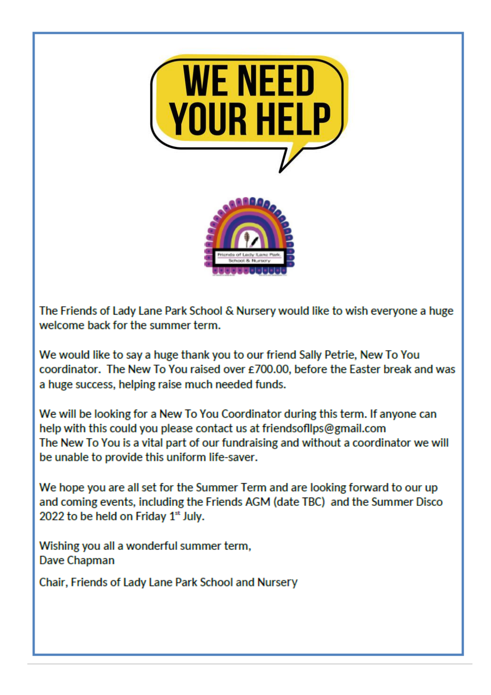

The Friends of Lady Lane Park School & Nursery would like to wish everyone a huge welcome back for the summer term.

We would like to say a huge thank you to our friend Sally Petrie, New To You coordinator. The New To You raised over £700.00, before the Easter break and was a huge success, helping raise much needed funds.

We will be looking for a New To You Coordinator during this term. If anyone can help with this could you please contact us at friendsofllps@gmail.com The New To You is a vital part of our fundraising and without a coordinator we will be unable to provide this uniform life-saver.

We hope you are all set for the Summer Term and are looking forward to our up and coming events, including the Friends AGM (date TBC) and the Summer Disco 2022 to be held on Friday  $1<sup>st</sup>$  July.

Wishing you all a wonderful summer term, **Dave Chapman** 

Chair, Friends of Lady Lane Park School and Nursery